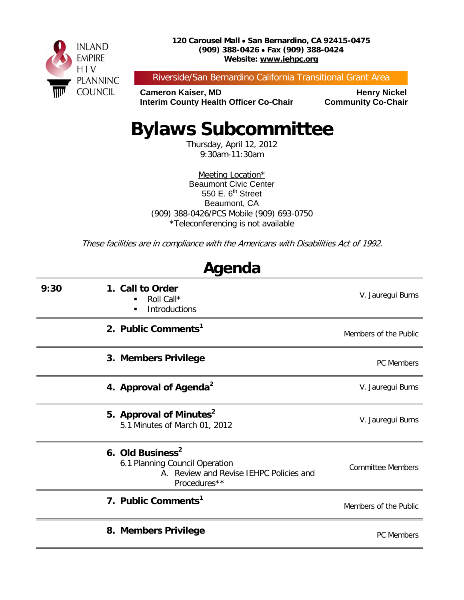

Riverside/San Bernardino California Transitional Grant Area

**Cameron Kaiser, MD<br>Interim County Health Officer Co-Chair Community Co-Chair Interim County Health Officer Co-Chair** 

# **Bylaws Subcommittee**

Thursday, April 12, 2012 9:30am-11:30am

Meeting Location\* Beaumont Civic Center 550 E.  $6<sup>th</sup>$  Street Beaumont, CA (909) 388-0426/PCS Mobile (909) 693-0750 \*Teleconferencing is not available

These facilities are in compliance with the Americans with Disabilities Act of 1992.

**Agenda**

| nyunua                                                                                                                    |                          |  |  |  |
|---------------------------------------------------------------------------------------------------------------------------|--------------------------|--|--|--|
| 1. Call to Order<br>9:30<br>Roll Call*<br>٠<br>Introductions<br>п                                                         | V. Jauregui Burns        |  |  |  |
| 2. Public Comments <sup>1</sup>                                                                                           | Members of the Public    |  |  |  |
| 3. Members Privilege                                                                                                      | PC Members               |  |  |  |
| 4. Approval of Agenda <sup>2</sup>                                                                                        | V. Jauregui Burns        |  |  |  |
| 5. Approval of Minutes <sup>2</sup><br>5.1 Minutes of March 01, 2012                                                      | V. Jauregui Burns        |  |  |  |
| 6. Old Business <sup>2</sup><br>6.1 Planning Council Operation<br>A. Review and Revise IEHPC Policies and<br>Procedures** | <b>Committee Members</b> |  |  |  |
| 7. Public Comments <sup>1</sup>                                                                                           | Members of the Public    |  |  |  |
| 8. Members Privilege                                                                                                      | PC Members               |  |  |  |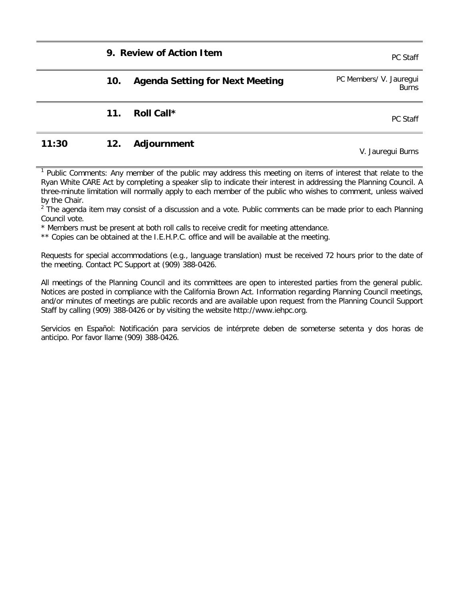#### **9. Review of Action Item PC Staff**

|       | 10. | <b>Agenda Setting for Next Meeting</b> | PC Members/ V. Jauregui<br><b>Burns</b> |
|-------|-----|----------------------------------------|-----------------------------------------|
|       | 11. | Roll Call*                             | PC Staff                                |
| 11:30 | 12. | Adjournment                            | V. Jauregui Burns                       |

Public Comments: Any member of the public may address this meeting on items of interest that relate to the Ryan White CARE Act by completing a speaker slip to indicate their interest in addressing the Planning Council. A three-minute limitation will normally apply to each member of the public who wishes to comment, unless waived by the Chair.

 $<sup>2</sup>$  The agenda item may consist of a discussion and a vote. Public comments can be made prior to each Planning</sup> Council vote.

\* Members must be present at both roll calls to receive credit for meeting attendance.

\*\* Copies can be obtained at the I.E.H.P.C. office and will be available at the meeting.

Requests for special accommodations (e.g., language translation) must be received 72 hours prior to the date of the meeting. Contact PC Support at (909) 388-0426.

All meetings of the Planning Council and its committees are open to interested parties from the general public. Notices are posted in compliance with the California Brown Act. Information regarding Planning Council meetings, and/or minutes of meetings are public records and are available upon request from the Planning Council Support Staff by calling (909) 388-0426 or by visiting the website http://www.iehpc.org.

Servicios en Español: Notificación para servicios de intérprete deben de someterse setenta y dos horas de anticipo. Por favor llame (909) 388-0426.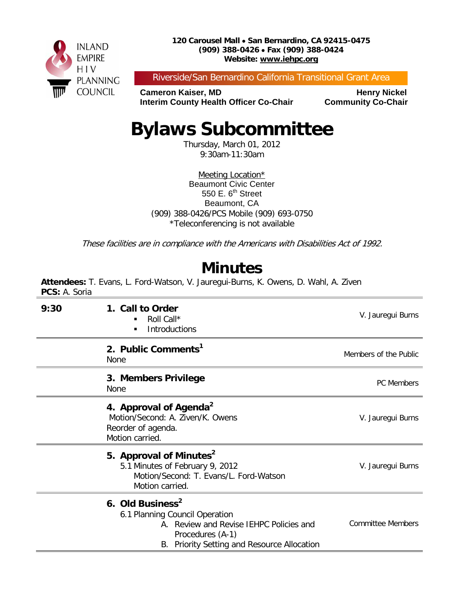

Riverside/San Bernardino California Transitional Grant Area

**Cameron Kaiser, MD<br>Interim County Health Officer Co-Chair Community Co-Chair Interim County Health Officer Co-Chair** 

# **Bylaws Subcommittee**

Thursday, March 01, 2012 9:30am-11:30am

Meeting Location\* Beaumont Civic Center 550 E.  $6<sup>th</sup>$  Street Beaumont, CA (909) 388-0426/PCS Mobile (909) 693-0750 \*Teleconferencing is not available

These facilities are in compliance with the Americans with Disabilities Act of 1992.

### **Minutes**

**Attendees:** T. Evans, L. Ford-Watson, V. Jauregui-Burns, K. Owens, D. Wahl, A. Ziven **PCS:** A. Soria

| 9:30 | 1. Call to Order<br>Roll Call*<br>Introductions                                                                                                                              | V. Jauregui Burns        |
|------|------------------------------------------------------------------------------------------------------------------------------------------------------------------------------|--------------------------|
|      | 2. Public Comments <sup>1</sup><br>None                                                                                                                                      | Members of the Public    |
|      | 3. Members Privilege<br>None                                                                                                                                                 | <b>PC</b> Members        |
|      | 4. Approval of Agenda <sup>2</sup><br>Motion/Second: A. Ziven/K. Owens<br>Reorder of agenda.<br>Motion carried.                                                              | V. Jauregui Burns        |
|      | 5. Approval of Minutes <sup>2</sup><br>5.1 Minutes of February 9, 2012<br>Motion/Second: T. Evans/L. Ford-Watson<br>Motion carried.                                          | V. Jauregui Burns        |
|      | 6. Old Business <sup>2</sup><br>6.1 Planning Council Operation<br>A. Review and Revise IEHPC Policies and<br>Procedures (A-1)<br>B. Priority Setting and Resource Allocation | <b>Committee Members</b> |